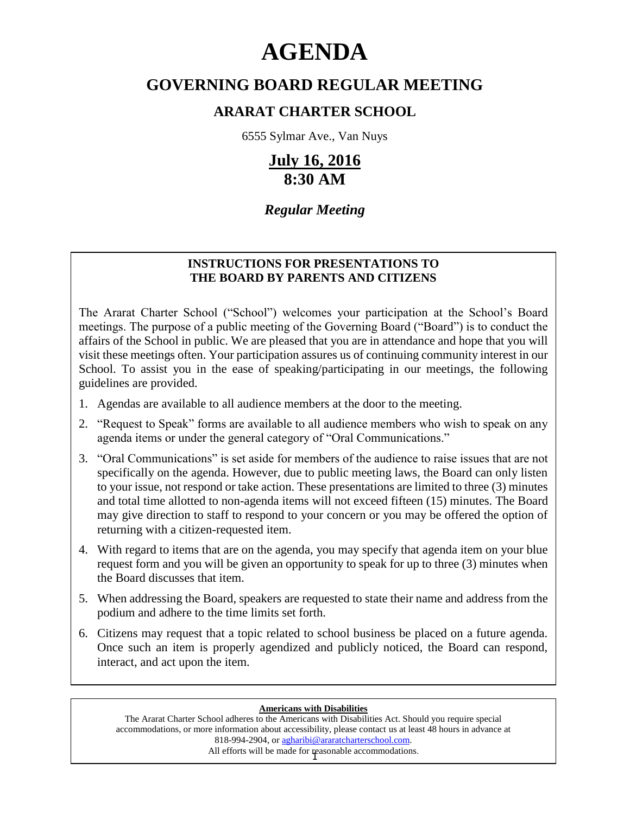# **AGENDA**

# **GOVERNING BOARD REGULAR MEETING**

# **ARARAT CHARTER SCHOOL**

6555 Sylmar Ave., Van Nuys

# **July 16, 2016 8:30 AM**

# *Regular Meeting*

### **INSTRUCTIONS FOR PRESENTATIONS TO THE BOARD BY PARENTS AND CITIZENS**

The Ararat Charter School ("School") welcomes your participation at the School's Board meetings. The purpose of a public meeting of the Governing Board ("Board") is to conduct the affairs of the School in public. We are pleased that you are in attendance and hope that you will visit these meetings often. Your participation assures us of continuing community interest in our School. To assist you in the ease of speaking/participating in our meetings, the following guidelines are provided.

- 1. Agendas are available to all audience members at the door to the meeting.
- 2. "Request to Speak" forms are available to all audience members who wish to speak on any agenda items or under the general category of "Oral Communications."
- 3. "Oral Communications" is set aside for members of the audience to raise issues that are not specifically on the agenda. However, due to public meeting laws, the Board can only listen to your issue, not respond or take action. These presentations are limited to three (3) minutes and total time allotted to non-agenda items will not exceed fifteen (15) minutes. The Board may give direction to staff to respond to your concern or you may be offered the option of returning with a citizen-requested item.
- 4. With regard to items that are on the agenda, you may specify that agenda item on your blue request form and you will be given an opportunity to speak for up to three (3) minutes when the Board discusses that item.
- 5. When addressing the Board, speakers are requested to state their name and address from the podium and adhere to the time limits set forth.
- 6. Citizens may request that a topic related to school business be placed on a future agenda. Once such an item is properly agendized and publicly noticed, the Board can respond, interact, and act upon the item.

#### **Americans with Disabilities**

All efforts will be made for reasonable accommodations. The Ararat Charter School adheres to the Americans with Disabilities Act. Should you require special accommodations, or more information about accessibility, please contact us at least 48 hours in advance at 818-994-2904, or agharibi@araratcharterschool.com.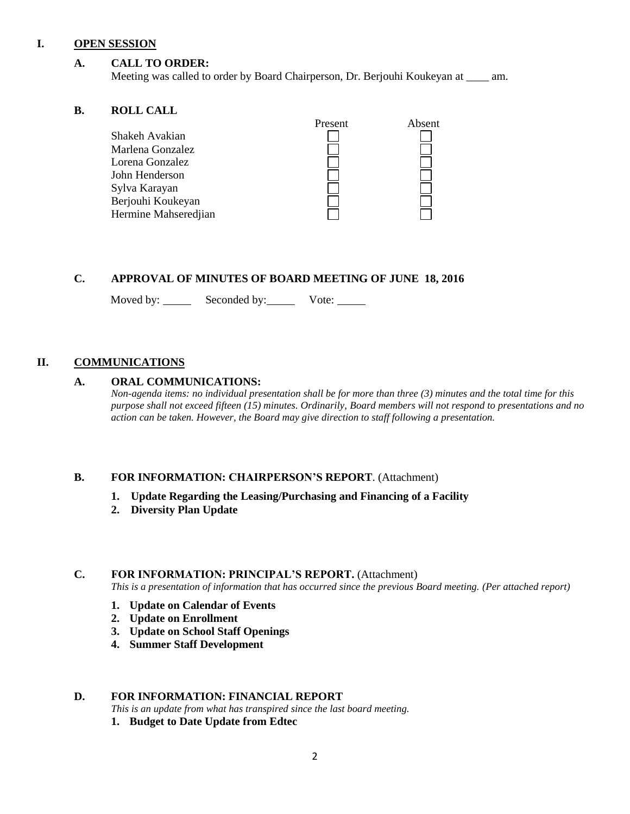#### **I. OPEN SESSION**

#### **A. CALL TO ORDER:**

Meeting was called to order by Board Chairperson, Dr. Berjouhi Koukeyan at \_\_\_\_ am.

#### **B. ROLL CALL**

| Present | Absent |
|---------|--------|
|         |        |
|         |        |
|         |        |
|         |        |
|         |        |
|         |        |
|         |        |
|         |        |

#### **C. APPROVAL OF MINUTES OF BOARD MEETING OF JUNE 18, 2016**

Moved by: Seconded by: Vote: Vote:

#### **II. COMMUNICATIONS**

#### **A. ORAL COMMUNICATIONS:**

*Non-agenda items: no individual presentation shall be for more than three (3) minutes and the total time for this purpose shall not exceed fifteen (15) minutes. Ordinarily, Board members will not respond to presentations and no action can be taken. However, the Board may give direction to staff following a presentation.*

#### **B. FOR INFORMATION: CHAIRPERSON'S REPORT**. (Attachment)

- **1. Update Regarding the Leasing/Purchasing and Financing of a Facility**
- **2. Diversity Plan Update**

#### **C. FOR INFORMATION: PRINCIPAL'S REPORT.** (Attachment)

*This is a presentation of information that has occurred since the previous Board meeting. (Per attached report)*

- **1. Update on Calendar of Events**
- **2. Update on Enrollment**
- **3. Update on School Staff Openings**
- **4. Summer Staff Development**

#### **D. FOR INFORMATION: FINANCIAL REPORT**

- *This is an update from what has transpired since the last board meeting.*
- **1. Budget to Date Update from Edtec**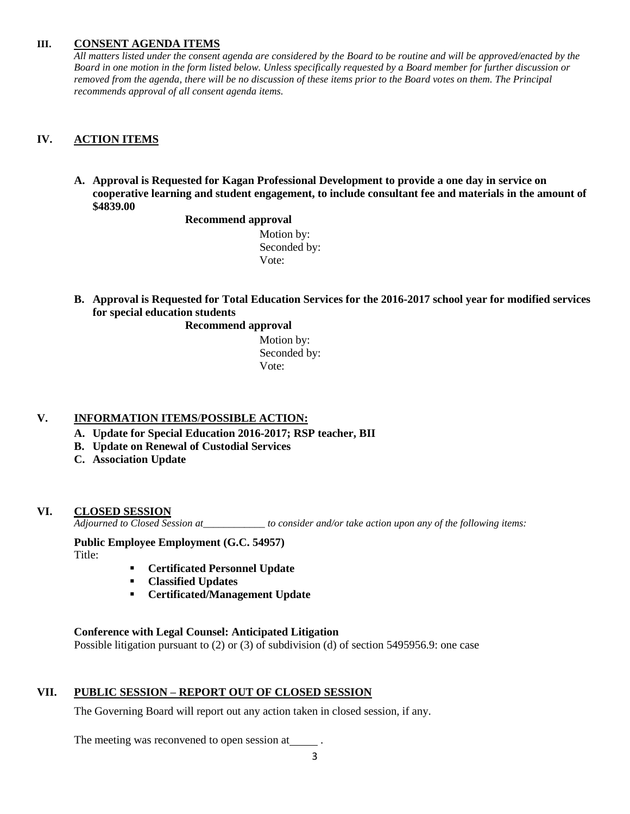#### **III. CONSENT AGENDA ITEMS**

*All matters listed under the consent agenda are considered by the Board to be routine and will be approved/enacted by the Board in one motion in the form listed below. Unless specifically requested by a Board member for further discussion or removed from the agenda, there will be no discussion of these items prior to the Board votes on them. The Principal recommends approval of all consent agenda items.*

#### **IV. ACTION ITEMS**

**A. Approval is Requested for Kagan Professional Development to provide a one day in service on cooperative learning and student engagement, to include consultant fee and materials in the amount of \$4839.00**

#### **Recommend approval**

 Motion by: Seconded by: Vote:

**B. Approval is Requested for Total Education Services for the 2016-2017 school year for modified services for special education students**

#### **Recommend approval**

 Motion by: Seconded by: Vote:

#### **V. INFORMATION ITEMS**/**POSSIBLE ACTION:**

- **A. Update for Special Education 2016-2017; RSP teacher, BII**
- **B. Update on Renewal of Custodial Services**
- **C. Association Update**

#### **VI. CLOSED SESSION**

*Adjourned to Closed Session at\_\_\_\_\_\_\_\_\_\_\_\_ to consider and/or take action upon any of the following items:*

## **Public Employee Employment (G.C. 54957)**

Title:

- **Certificated Personnel Update**
- **Classified Updates**
- **Certificated/Management Update**

#### **Conference with Legal Counsel: Anticipated Litigation**

Possible litigation pursuant to (2) or (3) of subdivision (d) of section 5495956.9: one case

#### **VII. PUBLIC SESSION – REPORT OUT OF CLOSED SESSION**

The Governing Board will report out any action taken in closed session, if any.

The meeting was reconvened to open session at \_\_\_\_\_\_.